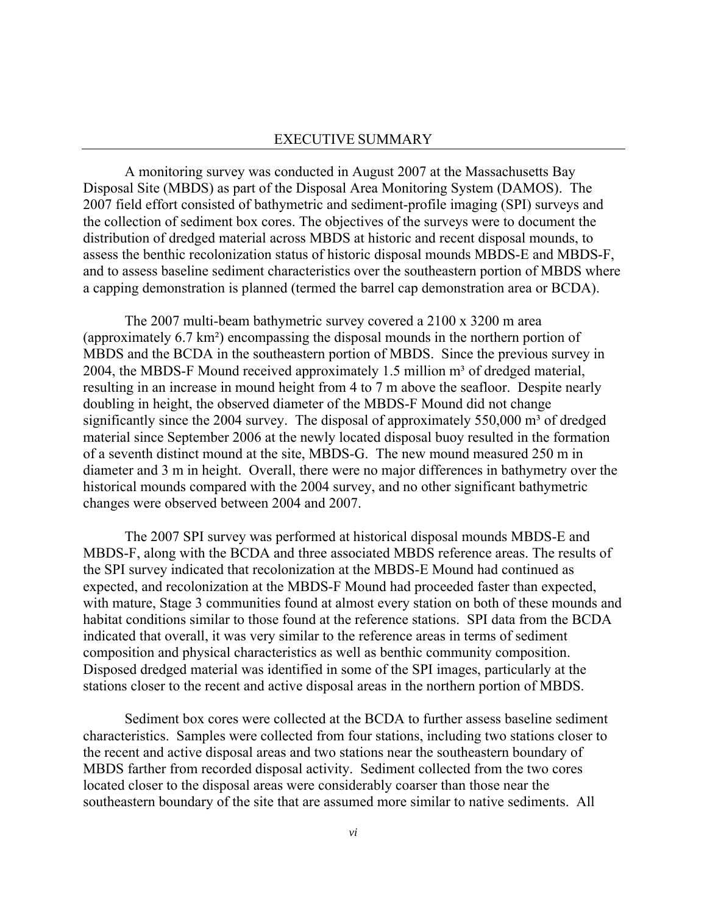## EXECUTIVE SUMMARY

A monitoring survey was conducted in August 2007 at the Massachusetts Bay Disposal Site (MBDS) as part of the Disposal Area Monitoring System (DAMOS). The 2007 field effort consisted of bathymetric and sediment-profile imaging (SPI) surveys and the collection of sediment box cores. The objectives of the surveys were to document the distribution of dredged material across MBDS at historic and recent disposal mounds, to assess the benthic recolonization status of historic disposal mounds MBDS-E and MBDS-F, and to assess baseline sediment characteristics over the southeastern portion of MBDS where a capping demonstration is planned (termed the barrel cap demonstration area or BCDA).

The 2007 multi-beam bathymetric survey covered a 2100 x 3200 m area (approximately 6.7 km²) encompassing the disposal mounds in the northern portion of MBDS and the BCDA in the southeastern portion of MBDS. Since the previous survey in 2004, the MBDS-F Mound received approximately 1.5 million  $m<sup>3</sup>$  of dredged material, resulting in an increase in mound height from 4 to 7 m above the seafloor. Despite nearly doubling in height, the observed diameter of the MBDS-F Mound did not change significantly since the 2004 survey. The disposal of approximately  $550,000$  m<sup>3</sup> of dredged material since September 2006 at the newly located disposal buoy resulted in the formation of a seventh distinct mound at the site, MBDS-G. The new mound measured 250 m in diameter and 3 m in height. Overall, there were no major differences in bathymetry over the historical mounds compared with the 2004 survey, and no other significant bathymetric changes were observed between 2004 and 2007.

The 2007 SPI survey was performed at historical disposal mounds MBDS-E and MBDS-F, along with the BCDA and three associated MBDS reference areas. The results of the SPI survey indicated that recolonization at the MBDS-E Mound had continued as expected, and recolonization at the MBDS-F Mound had proceeded faster than expected, with mature, Stage 3 communities found at almost every station on both of these mounds and habitat conditions similar to those found at the reference stations. SPI data from the BCDA indicated that overall, it was very similar to the reference areas in terms of sediment composition and physical characteristics as well as benthic community composition. Disposed dredged material was identified in some of the SPI images, particularly at the stations closer to the recent and active disposal areas in the northern portion of MBDS.

Sediment box cores were collected at the BCDA to further assess baseline sediment characteristics. Samples were collected from four stations, including two stations closer to the recent and active disposal areas and two stations near the southeastern boundary of MBDS farther from recorded disposal activity. Sediment collected from the two cores located closer to the disposal areas were considerably coarser than those near the southeastern boundary of the site that are assumed more similar to native sediments. All